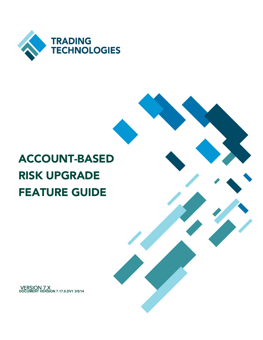

# ACCOUNT-BASED RISK UPGRADE FEATURE GUIDE

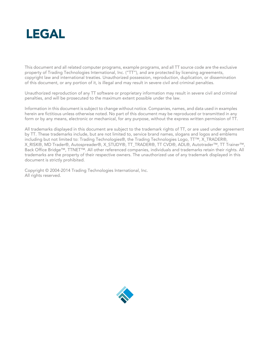

This document and all related computer programs, example programs, and all TT source code are the exclusive property of Trading Technologies International, Inc. ("TT"), and are protected by licensing agreements, copyright law and international treaties. Unauthorized possession, reproduction, duplication, or dissemination of this document, or any portion of it, is illegal and may result in severe civil and criminal penalties.

Unauthorized reproduction of any TT software or proprietary information may result in severe civil and criminal penalties, and will be prosecuted to the maximum extent possible under the law.

Information in this document is subject to change without notice. Companies, names, and data used in examples herein are fictitious unless otherwise noted. No part of this document may be reproduced or transmitted in any form or by any means, electronic or mechanical, for any purpose, without the express written permission of TT.

All trademarks displayed in this document are subject to the trademark rights of TT, or are used under agreement by TT. These trademarks include, but are not limited to, service brand names, slogans and logos and emblems including but not limited to: Trading Technologies®, the Trading Technologies Logo, TT™, X\_TRADER®, X\_RISK®, MD Trader®, Autospreader®, X\_STUDY®, TT\_TRADER®, TT CVD®, ADL®, Autotrader™, TT Trainer™, Back Office Bridge™, TTNET™. All other referenced companies, individuals and trademarks retain their rights. All trademarks are the property of their respective owners. The unauthorized use of any trademark displayed in this document is strictly prohibited.

Copyright © 2004-2014 Trading Technologies International, Inc. All rights reserved.

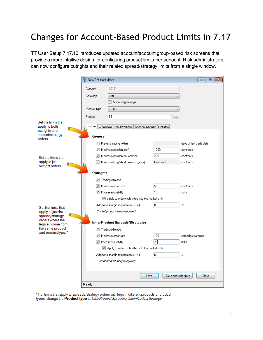# Changes for Account-Based Product Limits in 7.17

TT User Setup 7.17.10 introduces updated account/account group-based risk screens that provide a more intuitive design for configuring product limits per account. Risk administrators can now configure outrights and their related spread/strategy limits from a single window.

|                                                                          | New Product Limit                   | $-x$<br>$\Box$<br><b>- 1</b>                   |                  |                            |  |  |
|--------------------------------------------------------------------------|-------------------------------------|------------------------------------------------|------------------|----------------------------|--|--|
|                                                                          | 00121<br>Account                    |                                                |                  |                            |  |  |
|                                                                          | Gateway                             | <b>CME</b>                                     |                  |                            |  |  |
|                                                                          |                                     | Show all gateways                              |                  |                            |  |  |
|                                                                          | Product type                        | <b>FUTURE</b>                                  |                  |                            |  |  |
|                                                                          | Product                             | ES                                             | $\cdots$         |                            |  |  |
| Set the limits that<br>apply to both<br>outrights and<br>spread/strategy | Future<br>Wholesale Order Overrides |                                                |                  |                            |  |  |
| orders.                                                                  | General                             |                                                |                  |                            |  |  |
|                                                                          |                                     | Prevent trading within                         |                  | days of last trade date    |  |  |
|                                                                          |                                     | Maximum position (net)                         | 1000             | contracts                  |  |  |
| Set the limits that                                                      |                                     | Maximum position per contract                  | 200              | contracts                  |  |  |
| apply to just<br>outright orders.                                        |                                     | Maximum long/short position (gross)            | Unlimited        | contracts                  |  |  |
|                                                                          | Outrights                           |                                                |                  |                            |  |  |
|                                                                          |                                     | V Trading Allowed                              |                  |                            |  |  |
|                                                                          |                                     | Maximum order size                             | 50               | contracts                  |  |  |
|                                                                          |                                     | <b>V</b> Price reasonability                   | 10               | ticks                      |  |  |
|                                                                          |                                     | Apply to orders submitted into the market only |                  |                            |  |  |
| Set the limits that                                                      |                                     | Additional margin requirements (+/-)           |                  | $\boldsymbol{\mathcal{U}}$ |  |  |
| apply to just the                                                        |                                     | Current product margin required                | 0                |                            |  |  |
| spread/strategy<br>orders where the                                      |                                     |                                                |                  |                            |  |  |
| legs all come from                                                       | Intra-Product Spreads/Strategies    |                                                |                  |                            |  |  |
| the same product<br>and product type.*                                   |                                     | V Trading Allowed                              |                  |                            |  |  |
|                                                                          |                                     | Maximum order size                             | 100              | spreads/strategies         |  |  |
|                                                                          |                                     | <b>V</b> Price reasonability                   | 20               | ticks                      |  |  |
|                                                                          |                                     | Apply to orders submitted into the market only |                  |                            |  |  |
|                                                                          |                                     | Additional margin requirements (+/-)           | 0                | z                          |  |  |
|                                                                          |                                     | Current product margin required                | 0                |                            |  |  |
|                                                                          |                                     |                                                |                  |                            |  |  |
|                                                                          |                                     | Save                                           | Save and Add New | Close                      |  |  |
|                                                                          | Ready                               |                                                |                  |                            |  |  |

\* For limits that apply to spreads/strategy orders with legs in different products or product types, change the Product type to Inter-Product Spread or Inter-Product Strategy.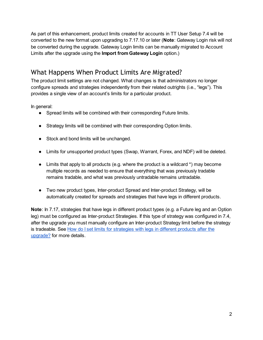As part of this enhancement, product limits created for accounts in TT User Setup 7.4 will be converted to the new format upon upgrading to 7.17.10 or later (Note: Gateway Login risk will not be converted during the upgrade. Gateway Login limits can be manually migrated to Account Limits after the upgrade using the Import from Gateway Login option.)

## What Happens When Product Limits Are Migrated?

The product limit settings are not changed. What changes is that administrators no longer configure spreads and strategies independently from their related outrights (i.e., "legs"). This provides a single view of an account's limits for a particular product.

In general:

- Spread limits will be combined with their corresponding Future limits.
- Strategy limits will be combined with their corresponding Option limits.
- Stock and bond limits will be unchanged.
- Limits for unsupported product types (Swap, Warrant, Forex, and NDF) will be deleted.
- $\bullet$  Limits that apply to all products (e.g. where the product is a wildcard  $\ast$ ) may become multiple records as needed to ensure that everything that was previously tradable remains tradable, and what was previously untradable remains untradable.
- Two new product types, Inter-product Spread and Inter-product Strategy, will be automatically created for spreads and strategies that have legs in different products.

Note: In 7.17, strategies that have legs in different product types (e.g. a Future leg and an Option leg) must be configured as Inter-product Strategies. If this type of strategy was configured in 7.4, after the upgrade you must manually configure an Inter-product Strategy limit before the strategy is tradeable. See How do I set limits for strategies with legs in different products after the upgrade? for more details.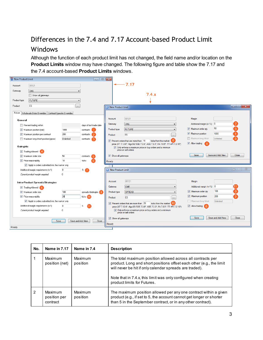# Differences in the 7.4 and 7.17 Account-based Product Limit

#### **Windows**

Although the function of each product limit has not changed, the field name and/or location on the Product Limits window may have changed. The following figure and table show the 7.17 and the 7.4 account-based Product Limits windows.

| New Product Limit |                                                              |                          | $\begin{array}{c c c c c c} \hline \multicolumn{3}{c }{\mathbf{C}} & \multicolumn{3}{c }{\mathbf{C}} & \multicolumn{3}{c }{\mathbf{X}} \\\hline \multicolumn{3}{c }{\mathbf{C}} & \multicolumn{3}{c }{\mathbf{D}} & \multicolumn{3}{c }{\mathbf{X}} \\\hline \multicolumn{3}{c }{\mathbf{D}} & \multicolumn{3}{c }{\mathbf{D}} & \multicolumn{3}{c }{\mathbf{X}} \\\hline \multicolumn{3}{c }{\mathbf{D}} & \multicolumn{3}{c }{\mathbf{D}} & \multicolumn$ |                            |                                                                                                                                                             |                                                    |                           |
|-------------------|--------------------------------------------------------------|--------------------------|-------------------------------------------------------------------------------------------------------------------------------------------------------------------------------------------------------------------------------------------------------------------------------------------------------------------------------------------------------------------------------------------------------------------------------------------------------------|----------------------------|-------------------------------------------------------------------------------------------------------------------------------------------------------------|----------------------------------------------------|---------------------------|
| Account           | 00121                                                        |                          |                                                                                                                                                                                                                                                                                                                                                                                                                                                             | ٠                          | 7.17                                                                                                                                                        |                                                    |                           |
| Gateway           | CME                                                          |                          |                                                                                                                                                                                                                                                                                                                                                                                                                                                             |                            |                                                                                                                                                             |                                                    |                           |
|                   | Show all gateways                                            |                          |                                                                                                                                                                                                                                                                                                                                                                                                                                                             |                            | 7.4.x                                                                                                                                                       |                                                    |                           |
| Product type      | <b>FUTURE</b>                                                |                          |                                                                                                                                                                                                                                                                                                                                                                                                                                                             |                            |                                                                                                                                                             |                                                    |                           |
| Product           | ES.                                                          | $\cdots$                 |                                                                                                                                                                                                                                                                                                                                                                                                                                                             | New Product Limit          |                                                                                                                                                             |                                                    | ارت اردا<br>$\mathbf{x}$  |
|                   | Future Wholesale Order Overrides Contract-Specific Overrides |                          |                                                                                                                                                                                                                                                                                                                                                                                                                                                             |                            |                                                                                                                                                             |                                                    |                           |
|                   |                                                              |                          |                                                                                                                                                                                                                                                                                                                                                                                                                                                             | <b>Account</b>             | 00121                                                                                                                                                       | Margin                                             |                           |
| General           |                                                              |                          |                                                                                                                                                                                                                                                                                                                                                                                                                                                             | Gateway                    | <b>CME</b>                                                                                                                                                  | Additional margin $(+/-%)$ 0                       |                           |
|                   | Prevent trading within                                       |                          | days of last trade date                                                                                                                                                                                                                                                                                                                                                                                                                                     |                            |                                                                                                                                                             |                                                    | 50                        |
|                   | Maximum position [net]                                       | 1000                     | contracts 1                                                                                                                                                                                                                                                                                                                                                                                                                                                 | Product type               | <b>FUTURE</b>                                                                                                                                               | V Maximum order qty                                |                           |
|                   | Maximum position per contract                                | 200                      | contracts (                                                                                                                                                                                                                                                                                                                                                                                                                                                 | Product                    | <b>ES</b>                                                                                                                                                   | Maximum position                                   | 1000                      |
|                   | Maximum long/short position (gross)                          | Unlimited                | contracts (                                                                                                                                                                                                                                                                                                                                                                                                                                                 |                            | ticks from the market $6$<br>$\triangledown$ Prevent orders that are more than 10                                                                           | Maximum long/short                                 | Unlimited                 |
| Outrights         |                                                              |                          |                                                                                                                                                                                                                                                                                                                                                                                                                                                             |                            | price (XT 7.12.6*, AlgoSE/SSE 7.3.6*, ASE 7.3.3*, FA 7.8.5*, TT API 7.2.10*)                                                                                | $\sqrt{ }$ Allow trading<br>$\boldsymbol{\Lambda}$ |                           |
|                   | <b>V</b> Trading Allowed 4                                   |                          |                                                                                                                                                                                                                                                                                                                                                                                                                                                             |                            | 7 Only enforce a maximum price on buy orders and a minimum<br>price on sell orders                                                                          |                                                    |                           |
|                   |                                                              | 50                       |                                                                                                                                                                                                                                                                                                                                                                                                                                                             | V Show all gateways        |                                                                                                                                                             | Save                                               | Save and Add New<br>Close |
|                   | Maximum order size                                           | 10                       | contracts 5                                                                                                                                                                                                                                                                                                                                                                                                                                                 |                            |                                                                                                                                                             |                                                    |                           |
|                   | <b>V</b> Price reasonability                                 |                          | ticks                                                                                                                                                                                                                                                                                                                                                                                                                                                       | Ready                      |                                                                                                                                                             |                                                    |                           |
|                   | Apply to orders submitted into the market only               |                          |                                                                                                                                                                                                                                                                                                                                                                                                                                                             |                            |                                                                                                                                                             |                                                    | $\Sigma$<br>$\Box   \Box$ |
|                   | Additional margin requirements [+/-]                         | $\mathbf{0}$             | $\frac{1}{2}$                                                                                                                                                                                                                                                                                                                                                                                                                                               | <b>O</b> New Product Limit |                                                                                                                                                             |                                                    |                           |
|                   | Current product margin required                              | $\mathbf{0}$             |                                                                                                                                                                                                                                                                                                                                                                                                                                                             |                            |                                                                                                                                                             |                                                    |                           |
|                   | Intra-Product Spreads/Strategies                             |                          |                                                                                                                                                                                                                                                                                                                                                                                                                                                             | Account                    | 00121                                                                                                                                                       | Margin                                             |                           |
|                   | Trading Allowed 8                                            |                          |                                                                                                                                                                                                                                                                                                                                                                                                                                                             | Gateway                    | <b>CME</b>                                                                                                                                                  | Additional margin (+/-%) 0                         |                           |
|                   | Maximum order size                                           | 100                      | spreads/strategies 9                                                                                                                                                                                                                                                                                                                                                                                                                                        | Product type               | <b>SPREAD</b>                                                                                                                                               | Maximum order atv                                  | 100                       |
|                   | <b>V</b> Price reasonability                                 | 20                       | ticks (10)                                                                                                                                                                                                                                                                                                                                                                                                                                                  | Product                    | <b>ES</b>                                                                                                                                                   | Maximum position                                   | 200                       |
|                   | Apply to orders submitted into the market only               |                          |                                                                                                                                                                                                                                                                                                                                                                                                                                                             |                            |                                                                                                                                                             | Maximum long/short                                 | Unlimited                 |
|                   | Additional margin requirements [+/-]                         | $\overline{0}$           | $\%$                                                                                                                                                                                                                                                                                                                                                                                                                                                        |                            | $\nabla$ Prevent orders that are more than 20<br>ticks from the market (10)<br>price (XT 7.12.6*, AlgoSE/SSE 7.3.6*, ASE 7.3.3*, FA 7.8.5*, TT API 7.2.10*) | V Allow trading<br>-8                              |                           |
|                   | Current product margin required                              | $\mathbf 0$              |                                                                                                                                                                                                                                                                                                                                                                                                                                                             |                            | 7 Only enforce a maximum price on buy orders and a minimum<br>price on sell orders                                                                          |                                                    |                           |
|                   |                                                              |                          |                                                                                                                                                                                                                                                                                                                                                                                                                                                             |                            | Save                                                                                                                                                        | Save and Add New<br>Close                          |                           |
|                   |                                                              | Save and Add New<br>Save | Close                                                                                                                                                                                                                                                                                                                                                                                                                                                       | Show all gateways          |                                                                                                                                                             |                                                    |                           |
| Ready             |                                                              |                          |                                                                                                                                                                                                                                                                                                                                                                                                                                                             | Ready                      |                                                                                                                                                             |                                                    |                           |
|                   |                                                              |                          |                                                                                                                                                                                                                                                                                                                                                                                                                                                             |                            |                                                                                                                                                             |                                                    |                           |

| No. | Name in 7.17                        | Name in 7.4         | <b>Description</b>                                                                                                                                                                                                                                                                                |
|-----|-------------------------------------|---------------------|---------------------------------------------------------------------------------------------------------------------------------------------------------------------------------------------------------------------------------------------------------------------------------------------------|
|     | Maximum<br>position (net)           | Maximum<br>position | The total maximum position allowed across all contracts per<br>product. Long and short positions offset each other (e.g., the limit<br>will never be hit if only calendar spreads are traded).<br>Note that in 7.4.x, this limit was only configured when creating<br>product limits for Futures. |
| 2   | Maximum<br>position per<br>contract | Maximum<br>position | The maximum position allowed per any one contract within a given<br>product (e.g., if set to 5, the account cannot get longer or shorter<br>than 5 in the September contract, or in any other contract).                                                                                          |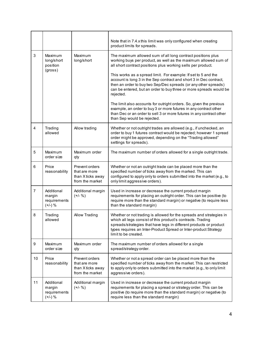|                |                                                   |                                                                         | Note that in 7.4.x this limit was only configured when creating<br>product limits for spreads.                                                                                                                                                                                                       |  |  |  |
|----------------|---------------------------------------------------|-------------------------------------------------------------------------|------------------------------------------------------------------------------------------------------------------------------------------------------------------------------------------------------------------------------------------------------------------------------------------------------|--|--|--|
| 3              | Maximum<br>long/short<br>position                 | Maximum<br>long/short                                                   | The maximum allowed sum of all long contract positions plus<br>working buys per product, as well as the maximum allowed sum of<br>all short contract positions plus working sells per product.                                                                                                       |  |  |  |
|                | (gross)                                           |                                                                         | This works as a spread limit. For example: If set to 5 and the<br>account is long 3 in the Sep contract and short 3 in Dec contract,<br>then an order to buy two Sep/Dec spreads (or any other spreads)<br>can be entered, but an order to buy three or more spreads would be<br>rejected.           |  |  |  |
|                |                                                   |                                                                         | The limit also accounts for outright orders. So, given the previous<br>example, an order to buy 3 or more futures in any contract other<br>than Dec or an order to sell 3 or more futures in any contract other<br>than Sep would be rejected.                                                       |  |  |  |
| $\overline{4}$ | Trading<br>allowed                                | Allow trading                                                           | Whether or not outright trades are allowed (e.g., if unchecked, an<br>order to buy 1 futures contract would be rejected; however 1 spread<br>order might be approved, depending on the "Trading allowed"<br>settings for spreads).                                                                   |  |  |  |
| 5              | Maximum<br>order size                             | Maximum order<br>qty                                                    | The maximum number of orders allowed for a single outright trade.                                                                                                                                                                                                                                    |  |  |  |
| 6              | Price<br>reasonability                            | Prevent orders<br>that are more<br>than X ticks away<br>from the market | Whether or not an outright trade can be placed more than the<br>specified number of ticks away from the marked. This can<br>configured to apply only to orders submitted into the market (e.g., to<br>only limit aggressive orders).                                                                 |  |  |  |
| $\overline{7}$ | Additional<br>margin<br>requirements<br>$(+/-)$ % | Additional margin<br>$(+/- %)$                                          | Used in increase or decrease the current product margin<br>requirements for placing an outright order. This can be positive (to<br>require more than the standard margin) or negative (to require less<br>than the standard margin)                                                                  |  |  |  |
| 8              | Trading<br>allowed                                | <b>Allow Trading</b>                                                    | Whether or not trading is allowed for the spreads and strategies in<br>which all legs consist of this product's contracts. Trading<br>spreads/strategies that have legs in different products or product<br>types requires an Inter-Product Spread or Inter-product Strategy<br>limit to be created. |  |  |  |
| 9              | Maximum<br>order size                             | Maximum order<br>qty                                                    | The maximum number of orders allowed for a single<br>spread/strategy order.                                                                                                                                                                                                                          |  |  |  |
| 10             | Price<br>reasonability                            | Prevent orders<br>that are more<br>than X ticks away<br>from the market | Whether or not a spread order can be placed more than the<br>specified number of ticks away from the market. This can restricted<br>to apply only to orders submitted into the market (e.g., to only limit<br>aggressive orders).                                                                    |  |  |  |
| 11             | Additional<br>margin<br>requirements<br>$(+/-)$ % | Additional margin<br>$(+/- %)$                                          | Used in increase or decrease the current product margin<br>requirements for placing a spread or strategy order. This can be<br>positive (to require more than the standard margin) or negative (to<br>require less than the standard margin)                                                         |  |  |  |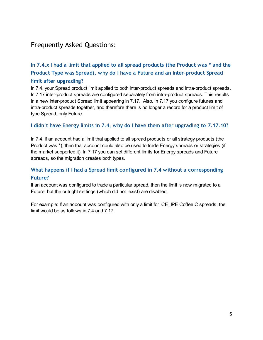### Frequently Asked Questions:

#### In 7.4.x I had a limit that applied to all spread products (the Product was \* and the Product Type was Spread), why do I have a Future and an Inter-product Spread limit after upgrading?

In 7.4, your Spread product limit applied to both inter-product spreads and intra-product spreads. In 7.17 inter-product spreads are configured separately from intra-product spreads. This results in a new Inter-product Spread limit appearing in 7.17. Also, in 7.17 you configure futures and intra-product spreads together, and therefore there is no longer a record for a product limit of type Spread, only Future.

#### I didn't have Energy limits in 7.4, why do I have them after upgrading to 7.17.10?

In 7.4, if an account had a limit that applied to all spread products or all strategy products (the Product was \*), then that account could also be used to trade Energy spreads or strategies (if the market supported it). In 7.17 you can set different limits for Energy spreads and Future spreads, so the migration creates both types.

#### What happens if I had a Spread limit configured in 7.4 without a corresponding Future?

If an account was configured to trade a particular spread, then the limit is now migrated to a Future, but the outright settings (which did not exist) are disabled.

For example: If an account was configured with only a limit for ICE\_IPE Coffee C spreads, the limit would be as follows in 7.4 and 7.17: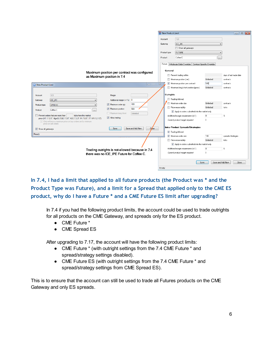|                                                 |                                                                                  |                                                                                                                                                                                                                                                                                                                                                                                                                                                                 |          | New Product Limit |                                                                |                          | $\begin{array}{ c c c c c }\hline \multicolumn{1}{ c }{\mathbf{C}} & \multicolumn{1}{ c }{\mathbf{R}} \\ \hline \multicolumn{1}{ c }{\mathbf{C}} & \multicolumn{1}{ c }{\mathbf{D}} & \multicolumn{1}{ c }{\mathbf{R}} \\ \hline \multicolumn{1}{ c }{\mathbf{D}} & \multicolumn{1}{ c }{\mathbf{R}} & \multicolumn{1}{ c }{\mathbf{R}} \\ \hline \multicolumn{1}{ c }{\mathbf{D}} & \multicolumn{1}{ c }{\mathbf{M}} & \multicolumn{1}{ c }{\$ |
|-------------------------------------------------|----------------------------------------------------------------------------------|-----------------------------------------------------------------------------------------------------------------------------------------------------------------------------------------------------------------------------------------------------------------------------------------------------------------------------------------------------------------------------------------------------------------------------------------------------------------|----------|-------------------|----------------------------------------------------------------|--------------------------|-------------------------------------------------------------------------------------------------------------------------------------------------------------------------------------------------------------------------------------------------------------------------------------------------------------------------------------------------------------------------------------------------------------------------------------------------|
|                                                 |                                                                                  |                                                                                                                                                                                                                                                                                                                                                                                                                                                                 |          |                   |                                                                |                          |                                                                                                                                                                                                                                                                                                                                                                                                                                                 |
|                                                 |                                                                                  |                                                                                                                                                                                                                                                                                                                                                                                                                                                                 | Account  |                   | 123                                                            |                          |                                                                                                                                                                                                                                                                                                                                                                                                                                                 |
|                                                 |                                                                                  |                                                                                                                                                                                                                                                                                                                                                                                                                                                                 | Gateway  |                   | ICE IPE                                                        |                          |                                                                                                                                                                                                                                                                                                                                                                                                                                                 |
|                                                 |                                                                                  |                                                                                                                                                                                                                                                                                                                                                                                                                                                                 |          |                   | Show all gateways                                              |                          |                                                                                                                                                                                                                                                                                                                                                                                                                                                 |
|                                                 |                                                                                  |                                                                                                                                                                                                                                                                                                                                                                                                                                                                 |          | Product type      | <b>FUTURE</b>                                                  | $\overline{\phantom{a}}$ |                                                                                                                                                                                                                                                                                                                                                                                                                                                 |
|                                                 |                                                                                  |                                                                                                                                                                                                                                                                                                                                                                                                                                                                 | Product  |                   | Coffee C                                                       | $\cdots$                 |                                                                                                                                                                                                                                                                                                                                                                                                                                                 |
|                                                 |                                                                                  |                                                                                                                                                                                                                                                                                                                                                                                                                                                                 |          |                   | Future Wholesale Order Overrides   Contract-Specific Overrides |                          |                                                                                                                                                                                                                                                                                                                                                                                                                                                 |
|                                                 |                                                                                  |                                                                                                                                                                                                                                                                                                                                                                                                                                                                 |          |                   |                                                                |                          |                                                                                                                                                                                                                                                                                                                                                                                                                                                 |
|                                                 |                                                                                  | Maximum position per contract was configured                                                                                                                                                                                                                                                                                                                                                                                                                    |          | General           |                                                                |                          |                                                                                                                                                                                                                                                                                                                                                                                                                                                 |
|                                                 |                                                                                  | as Maximum position in 7.4                                                                                                                                                                                                                                                                                                                                                                                                                                      |          |                   | Prevent trading within                                         |                          | days of last trade date                                                                                                                                                                                                                                                                                                                                                                                                                         |
|                                                 |                                                                                  |                                                                                                                                                                                                                                                                                                                                                                                                                                                                 |          |                   | Maximum position (net)                                         | Unlimited                | contracts                                                                                                                                                                                                                                                                                                                                                                                                                                       |
| New Product Limit                               |                                                                                  | $\begin{array}{c c c c c} \hline \multicolumn{1}{c }{\textbf{I}} & \multicolumn{1}{c }{\textbf{I}} \\ \hline \multicolumn{1}{c }{\textbf{I}} & \multicolumn{1}{c }{\textbf{I}} \\ \hline \multicolumn{1}{c }{\textbf{I}} & \multicolumn{1}{c }{\textbf{I}} \\ \hline \multicolumn{1}{c }{\textbf{I}} & \multicolumn{1}{c }{\textbf{I}} \\ \hline \multicolumn{1}{c }{\textbf{I}} & \multicolumn{1}{c }{\textbf{I}} \\ \hline \multicolumn{1}{c }{\textbf{I}} &$ | $\Sigma$ |                   | Maximum position per contract                                  | 500                      | contracts                                                                                                                                                                                                                                                                                                                                                                                                                                       |
|                                                 |                                                                                  |                                                                                                                                                                                                                                                                                                                                                                                                                                                                 |          |                   | Maximum long/short position (gross)                            | Unlimited                | contracts                                                                                                                                                                                                                                                                                                                                                                                                                                       |
|                                                 |                                                                                  |                                                                                                                                                                                                                                                                                                                                                                                                                                                                 |          | Outrights         |                                                                |                          |                                                                                                                                                                                                                                                                                                                                                                                                                                                 |
| Account                                         | 123                                                                              | Margin                                                                                                                                                                                                                                                                                                                                                                                                                                                          |          |                   |                                                                |                          |                                                                                                                                                                                                                                                                                                                                                                                                                                                 |
| Gateway                                         | ICE IPE                                                                          | Additional margin (+/-%) 0                                                                                                                                                                                                                                                                                                                                                                                                                                      |          |                   | Trading Allowed<br>Maximum order size                          | Unlimited                | contracts                                                                                                                                                                                                                                                                                                                                                                                                                                       |
| Product type                                    | SPREAD                                                                           | 100<br>V Maximum order qty                                                                                                                                                                                                                                                                                                                                                                                                                                      |          |                   | Price reasonability                                            | Unlimited                | ticks                                                                                                                                                                                                                                                                                                                                                                                                                                           |
| Product                                         | Coffee C                                                                         | Maximum position<br>500                                                                                                                                                                                                                                                                                                                                                                                                                                         |          |                   | Apply to orders submitted into the market only                 |                          |                                                                                                                                                                                                                                                                                                                                                                                                                                                 |
|                                                 | Prevent orders that are more than<br>ticks from the market                       | Maximum long/short<br>Unlimited                                                                                                                                                                                                                                                                                                                                                                                                                                 |          |                   | Additional margin requirements [+/-]                           | $\overline{0}$           | $\%$                                                                                                                                                                                                                                                                                                                                                                                                                                            |
|                                                 | price (XT 7.12.6*, AlgoSE/SSE 7.3.6*, ASE 7.3.3*, FA 7.8.5*, TT API 7.2.10*)     | V Allow trading                                                                                                                                                                                                                                                                                                                                                                                                                                                 |          |                   | Current product margin required                                | $\mathbf 0$              |                                                                                                                                                                                                                                                                                                                                                                                                                                                 |
|                                                 | Only enforce a maximum price on buy orders and a minimum<br>price on sell orders |                                                                                                                                                                                                                                                                                                                                                                                                                                                                 |          |                   |                                                                |                          |                                                                                                                                                                                                                                                                                                                                                                                                                                                 |
| Show all gateways                               |                                                                                  | Save and Add New<br>Save<br>Close                                                                                                                                                                                                                                                                                                                                                                                                                               |          |                   | Intra-Product Spreads/Strategies                               |                          |                                                                                                                                                                                                                                                                                                                                                                                                                                                 |
|                                                 |                                                                                  |                                                                                                                                                                                                                                                                                                                                                                                                                                                                 |          |                   | <b>V</b> Trading Allowed                                       |                          |                                                                                                                                                                                                                                                                                                                                                                                                                                                 |
| Ready                                           |                                                                                  |                                                                                                                                                                                                                                                                                                                                                                                                                                                                 |          |                   | Maximum order size                                             | 100                      | spreads/strategies                                                                                                                                                                                                                                                                                                                                                                                                                              |
|                                                 |                                                                                  |                                                                                                                                                                                                                                                                                                                                                                                                                                                                 |          |                   | Price reasonability                                            | Unlimited                | ticks                                                                                                                                                                                                                                                                                                                                                                                                                                           |
|                                                 |                                                                                  |                                                                                                                                                                                                                                                                                                                                                                                                                                                                 |          |                   | Apply to orders submitted into the market only                 |                          |                                                                                                                                                                                                                                                                                                                                                                                                                                                 |
| Trading outrights is not allowed because in 7.4 |                                                                                  |                                                                                                                                                                                                                                                                                                                                                                                                                                                                 |          |                   | Additional margin requirements (+/-)                           | lo.                      | $\%$                                                                                                                                                                                                                                                                                                                                                                                                                                            |
|                                                 | there was no ICE IPE Future for Coffee C.                                        |                                                                                                                                                                                                                                                                                                                                                                                                                                                                 |          |                   | Current product margin required                                | 0                        |                                                                                                                                                                                                                                                                                                                                                                                                                                                 |
|                                                 |                                                                                  |                                                                                                                                                                                                                                                                                                                                                                                                                                                                 |          |                   |                                                                |                          |                                                                                                                                                                                                                                                                                                                                                                                                                                                 |
|                                                 |                                                                                  |                                                                                                                                                                                                                                                                                                                                                                                                                                                                 |          |                   | Save                                                           | Save and Add New         | Close                                                                                                                                                                                                                                                                                                                                                                                                                                           |
|                                                 |                                                                                  |                                                                                                                                                                                                                                                                                                                                                                                                                                                                 | Ready    |                   |                                                                |                          |                                                                                                                                                                                                                                                                                                                                                                                                                                                 |
|                                                 |                                                                                  |                                                                                                                                                                                                                                                                                                                                                                                                                                                                 |          |                   |                                                                |                          |                                                                                                                                                                                                                                                                                                                                                                                                                                                 |

In 7.4, I had a limit that applied to all future products (the Product was \* and the Product Type was Future), and a limit for a Spread that applied only to the CME ES product, why do I have a Future \* and a CME Future ES limit after upgrading?

In 7.4 if you had the following product limits, the account could be used to trade outrights for all products on the CME Gateway, and spreads only for the ES product.

- CME Future \*
- CME Spread ES

After upgrading to 7.17, the account will have the following product limits:

- CME Future \* (with outright settings from the 7.4 CME Future \* and spread/strategy settings disabled).
- CME Future ES (with outright settings from the 7.4 CME Future \* and spread/strategy settings from CME Spread ES).

This is to ensure that the account can still be used to trade all Futures products on the CME Gateway and only ES spreads.